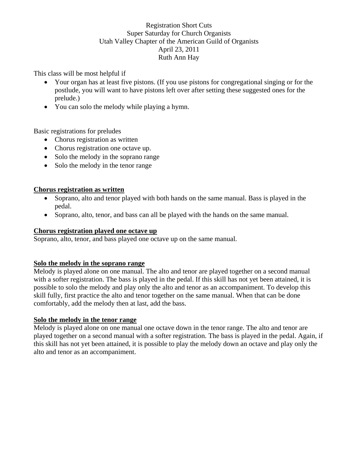## Registration Short Cuts Super Saturday for Church Organists Utah Valley Chapter of the American Guild of Organists April 23, 2011 Ruth Ann Hay

This class will be most helpful if

- Your organ has at least five pistons. (If you use pistons for congregational singing or for the postlude, you will want to have pistons left over after setting these suggested ones for the prelude.)
- You can solo the melody while playing a hymn.

Basic registrations for preludes

- Chorus registration as written
- Chorus registration one octave up.
- Solo the melody in the soprano range
- Solo the melody in the tenor range

## **Chorus registration as written**

- Soprano, alto and tenor played with both hands on the same manual. Bass is played in the pedal.
- Soprano, alto, tenor, and bass can all be played with the hands on the same manual.

## **Chorus registration played one octave up**

Soprano, alto, tenor, and bass played one octave up on the same manual.

## **Solo the melody in the soprano range**

Melody is played alone on one manual. The alto and tenor are played together on a second manual with a softer registration. The bass is played in the pedal. If this skill has not yet been attained, it is possible to solo the melody and play only the alto and tenor as an accompaniment. To develop this skill fully, first practice the alto and tenor together on the same manual. When that can be done comfortably, add the melody then at last, add the bass.

## **Solo the melody in the tenor range**

Melody is played alone on one manual one octave down in the tenor range. The alto and tenor are played together on a second manual with a softer registration. The bass is played in the pedal. Again, if this skill has not yet been attained, it is possible to play the melody down an octave and play only the alto and tenor as an accompaniment.